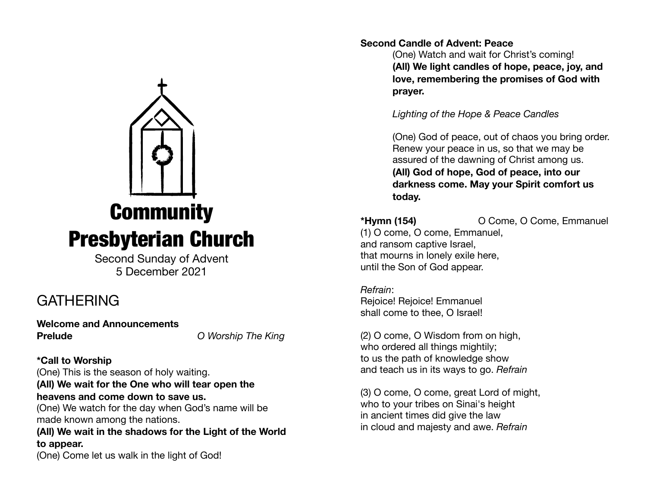

Second Sunday of Advent 5 December 2021

# **GATHERING**

**Welcome and Announcements Prelude** *O Worship The King*

**\*Call to Worship**  (One) This is the season of holy waiting. **(All) We wait for the One who will tear open the heavens and come down to save us.** 

(One) We watch for the day when God's name will be made known among the nations.

**(All) We wait in the shadows for the Light of the World to appear.** 

(One) Come let us walk in the light of God! 

## **Second Candle of Advent: Peace**

(One) Watch and wait for Christ's coming! **(All) We light candles of hope, peace, joy, and love, remembering the promises of God with prayer.** 

*Lighting of the Hope & Peace Candles*

(One) God of peace, out of chaos you bring order. Renew your peace in us, so that we may be assured of the dawning of Christ among us. **(All) God of hope, God of peace, into our darkness come. May your Spirit comfort us today.** 

**\*Hymn (154)** O Come, O Come, Emmanuel

(1) O come, O come, Emmanuel, and ransom captive Israel, that mourns in lonely exile here, until the Son of God appear.

*Refrain*: Rejoice! Rejoice! Emmanuel shall come to thee, O Israel!

(2) O come, O Wisdom from on high, who ordered all things mightily; to us the path of knowledge show and teach us in its ways to go. *Refrain*

(3) O come, O come, great Lord of might, who to your tribes on Sinai's height in ancient times did give the law in cloud and majesty and awe. *Refrain*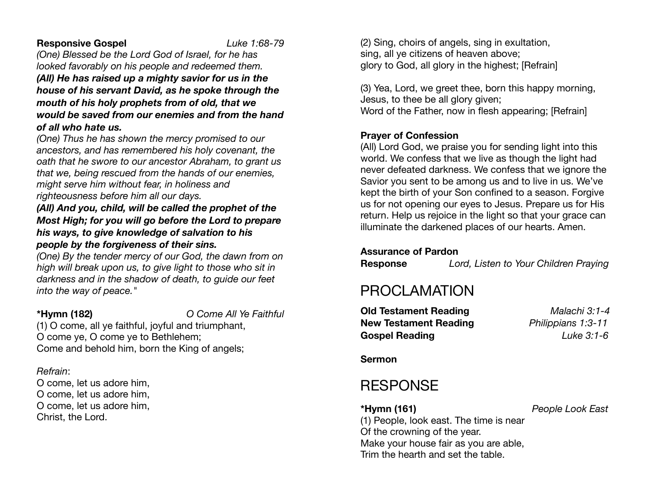## **Responsive Gospel** *Luke 1:68-79*

*(One) Blessed be the Lord God of Israel, for he has looked favorably on his people and redeemed them. (All) He has raised up a mighty savior for us in the* 

*house of his servant David, as he spoke through the mouth of his holy prophets from of old, that we would be saved from our enemies and from the hand of all who hate us.* 

*(One) Thus he has shown the mercy promised to our ancestors, and has remembered his holy covenant, the oath that he swore to our ancestor Abraham, to grant us that we, being rescued from the hands of our enemies, might serve him without fear, in holiness and righteousness before him all our days.* 

*(All) And you, child, will be called the prophet of the Most High; for you will go before the Lord to prepare his ways, to give knowledge of salvation to his people by the forgiveness of their sins.* 

*(One) By the tender mercy of our God, the dawn from on high will break upon us, to give light to those who sit in darkness and in the shadow of death, to guide our feet into the way of peace."* 

**\*Hymn (182)** *O Come All Ye Faithful*

(1) O come, all ye faithful, joyful and triumphant, O come ye, O come ye to Bethlehem; Come and behold him, born the King of angels;

## *Refrain*:

O come, let us adore him, O come, let us adore him, O come, let us adore him, Christ, the Lord.

(2) Sing, choirs of angels, sing in exultation, sing, all ye citizens of heaven above; glory to God, all glory in the highest; [Refrain]

(3) Yea, Lord, we greet thee, born this happy morning, Jesus, to thee be all glory given; Word of the Father, now in flesh appearing; [Refrain]

## **Prayer of Confession**

(All) Lord God, we praise you for sending light into this world. We confess that we live as though the light had never defeated darkness. We confess that we ignore the Savior you sent to be among us and to live in us. We've kept the birth of your Son confined to a season. Forgive us for not opening our eyes to Jesus. Prepare us for His return. Help us rejoice in the light so that your grace can illuminate the darkened places of our hearts. Amen.

## **Assurance of Pardon**

**Response** *Lord, Listen to Your Children Praying* 

## PROCLAMATION

**Old Testament Reading** *Malachi 3:1-4*  **New Testament Reading** *Philippians 1:3-11*  **Gospel Reading** *Luke 3:1-6*

**Sermon**

## **RESPONSE**

**\*Hymn (161)** *People Look East*

(1) People, look east. The time is near Of the crowning of the year. Make your house fair as you are able, Trim the hearth and set the table.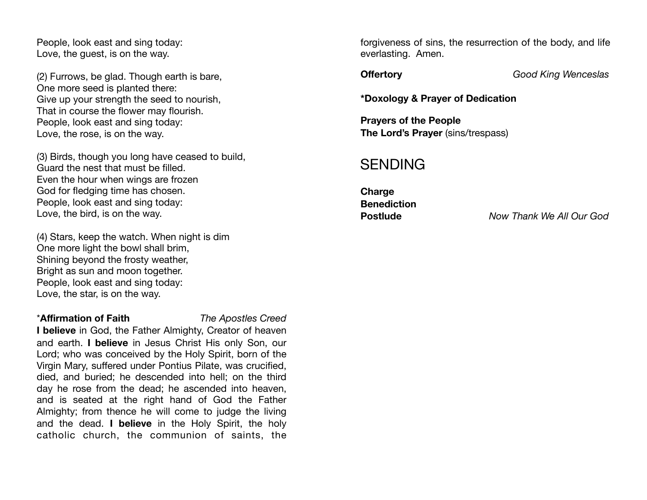People, look east and sing today: Love, the guest, is on the way.

(2) Furrows, be glad. Though earth is bare, One more seed is planted there: Give up your strength the seed to nourish, That in course the flower may flourish. People, look east and sing today: Love, the rose, is on the way.

(3) Birds, though you long have ceased to build, Guard the nest that must be filled. Even the hour when wings are frozen God for fledging time has chosen. People, look east and sing today: Love, the bird, is on the way.

(4) Stars, keep the watch. When night is dim One more light the bowl shall brim, Shining beyond the frosty weather, Bright as sun and moon together. People, look east and sing today: Love, the star, is on the way.

#### \***Affirmation of Faith** *The Apostles Creed*

**I believe** in God, the Father Almighty, Creator of heaven and earth. **I believe** in Jesus Christ His only Son, our Lord; who was conceived by the Holy Spirit, born of the Virgin Mary, suffered under Pontius Pilate, was crucified, died, and buried; he descended into hell; on the third day he rose from the dead; he ascended into heaven, and is seated at the right hand of God the Father Almighty; from thence he will come to judge the living and the dead. **I believe** in the Holy Spirit, the holy catholic church, the communion of saints, the

forgiveness of sins, the resurrection of the body, and life everlasting. Amen.

**Offertory** *Good King Wenceslas*

**\*Doxology & Prayer of Dedication** 

**Prayers of the People The Lord's Prayer** (sins/trespass)

## SENDING

**Charge Benediction** 

**Postlude** *Now Thank We All Our God*